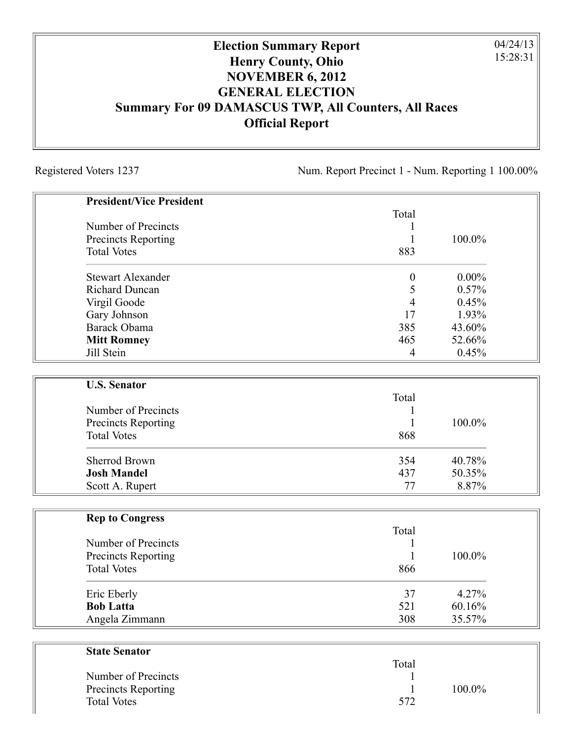## **Election Summary Report Henry County, Ohio NOVEMBER 6, 2012 GENERAL ELECTION Summary For 09 DAMASCUS TWP, All Counters, All Races Official Report**

Registered Voters 1237 Num. Report Precinct 1 - Num. Reporting 1 100.00%

04/24/13 15:28:31

| <b>President/Vice President</b> |                  |          |
|---------------------------------|------------------|----------|
|                                 | Total            |          |
| Number of Precincts             | 1                |          |
| <b>Precincts Reporting</b>      | $\mathbf{1}$     | 100.0%   |
| <b>Total Votes</b>              | 883              |          |
| <b>Stewart Alexander</b>        | $\boldsymbol{0}$ | $0.00\%$ |
| <b>Richard Duncan</b>           | 5                | 0.57%    |
| Virgil Goode                    | $\overline{4}$   | 0.45%    |
| Gary Johnson                    | 17               | 1.93%    |
| Barack Obama                    | 385              | 43.60%   |
| <b>Mitt Romney</b>              | 465              | 52.66%   |
| Jill Stein                      | 4                | 0.45%    |
| <b>U.S. Senator</b>             |                  |          |
|                                 | Total            |          |
| Number of Precincts             | 1                |          |
| <b>Precincts Reporting</b>      | $\mathbf{1}$     | 100.0%   |
| <b>Total Votes</b>              | 868              |          |
| <b>Sherrod Brown</b>            | 354              | 40.78%   |
| <b>Josh Mandel</b>              | 437              | 50.35%   |
| Scott A. Rupert                 | 77               | 8.87%    |
| <b>Rep to Congress</b>          |                  |          |
|                                 | Total            |          |
| Number of Precincts             | 1                |          |
| <b>Precincts Reporting</b>      | 1                | 100.0%   |
| <b>Total Votes</b>              | 866              |          |
| Eric Eberly                     | 37               | 4.27%    |
| <b>Bob Latta</b>                | 521              | 60.16%   |
| Angela Zimmann                  | 308              | 35.57%   |
| <b>State Senator</b>            |                  |          |
|                                 | Total            |          |

|                     | 10 tai |           |
|---------------------|--------|-----------|
| Number of Precincts |        |           |
| Precincts Reporting |        | $100.0\%$ |
| <b>Total Votes</b>  | 572    |           |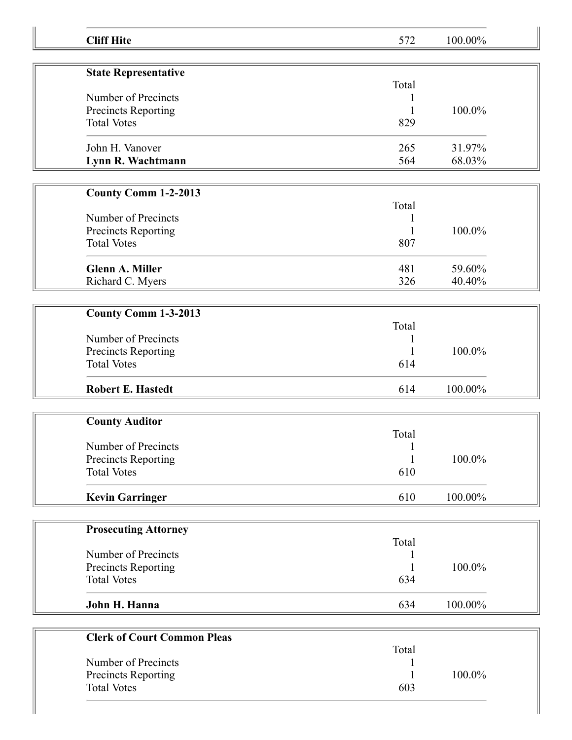| <b>Cliff Hite</b>                  | 572          | 100.00% |  |
|------------------------------------|--------------|---------|--|
|                                    |              |         |  |
| <b>State Representative</b>        |              |         |  |
| Number of Precincts                | Total        |         |  |
| Precincts Reporting                |              | 100.0%  |  |
| <b>Total Votes</b>                 | 829          |         |  |
|                                    |              |         |  |
| John H. Vanover                    | 265          | 31.97%  |  |
| Lynn R. Wachtmann                  | 564          | 68.03%  |  |
|                                    |              |         |  |
| <b>County Comm 1-2-2013</b>        | Total        |         |  |
| Number of Precincts                | 1            |         |  |
| Precincts Reporting                | 1            | 100.0%  |  |
| <b>Total Votes</b>                 | 807          |         |  |
|                                    |              |         |  |
| <b>Glenn A. Miller</b>             | 481          | 59.60%  |  |
| Richard C. Myers                   | 326          | 40.40%  |  |
|                                    |              |         |  |
| County Comm 1-3-2013               |              |         |  |
| Number of Precincts                | Total        |         |  |
| Precincts Reporting                |              | 100.0%  |  |
| <b>Total Votes</b>                 | 614          |         |  |
|                                    |              |         |  |
| <b>Robert E. Hastedt</b>           | 614          | 100.00% |  |
|                                    |              |         |  |
| <b>County Auditor</b>              | Total        |         |  |
| Number of Precincts                | $\mathbf{1}$ |         |  |
| <b>Precincts Reporting</b>         | $\mathbf{1}$ | 100.0%  |  |
| <b>Total Votes</b>                 | 610          |         |  |
|                                    |              |         |  |
| <b>Kevin Garringer</b>             | 610          | 100.00% |  |
|                                    |              |         |  |
| <b>Prosecuting Attorney</b>        |              |         |  |
| Number of Precincts                | Total        |         |  |
| Precincts Reporting                |              | 100.0%  |  |
| <b>Total Votes</b>                 | 634          |         |  |
|                                    |              |         |  |
| John H. Hanna                      | 634          | 100.00% |  |
|                                    |              |         |  |
| <b>Clerk of Court Common Pleas</b> | Total        |         |  |
| Number of Precincts                |              |         |  |
| Precincts Reporting                |              | 100.0%  |  |
| <b>Total Votes</b>                 | 603          |         |  |
|                                    |              |         |  |
|                                    |              |         |  |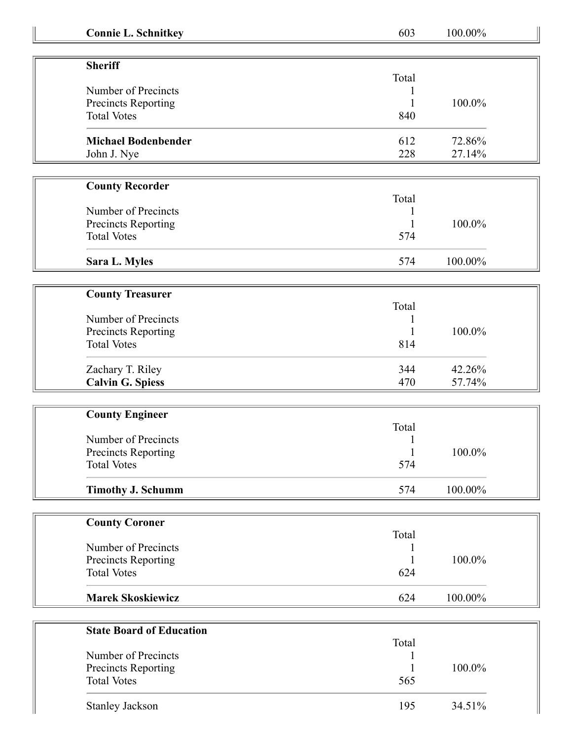| <b>Connie L. Schnitkey</b>                | 603          | 100.00% |  |
|-------------------------------------------|--------------|---------|--|
|                                           |              |         |  |
| <b>Sheriff</b>                            | Total        |         |  |
| Number of Precincts                       |              |         |  |
| Precincts Reporting                       |              | 100.0%  |  |
| <b>Total Votes</b>                        | 840          |         |  |
| <b>Michael Bodenbender</b>                | 612          | 72.86%  |  |
| John J. Nye                               | 228          | 27.14%  |  |
|                                           |              |         |  |
| <b>County Recorder</b>                    | Total        |         |  |
| Number of Precincts                       |              |         |  |
| Precincts Reporting                       |              | 100.0%  |  |
| <b>Total Votes</b>                        | 574          |         |  |
|                                           |              |         |  |
| Sara L. Myles                             | 574          | 100.00% |  |
| <b>County Treasurer</b>                   |              |         |  |
|                                           | Total        |         |  |
| Number of Precincts                       |              |         |  |
| Precincts Reporting                       |              | 100.0%  |  |
| <b>Total Votes</b>                        | 814          |         |  |
| Zachary T. Riley                          | 344          | 42.26%  |  |
| <b>Calvin G. Spiess</b>                   | 470          | 57.74%  |  |
|                                           |              |         |  |
| <b>County Engineer</b>                    |              |         |  |
|                                           | Total        |         |  |
| Number of Precincts                       |              |         |  |
| Precincts Reporting                       | $\mathbf{1}$ | 100.0%  |  |
| <b>Total Votes</b>                        | 574          |         |  |
| <b>Timothy J. Schumm</b>                  | 574          | 100.00% |  |
|                                           |              |         |  |
| <b>County Coroner</b>                     |              |         |  |
| Number of Precincts                       | Total        |         |  |
|                                           |              |         |  |
| Precincts Reporting<br><b>Total Votes</b> | 624          | 100.0%  |  |
|                                           |              |         |  |
| <b>Marek Skoskiewicz</b>                  | 624          | 100.00% |  |
|                                           |              |         |  |
| <b>State Board of Education</b>           | Total        |         |  |
| Number of Precincts                       |              |         |  |
| Precincts Reporting                       |              | 100.0%  |  |
| <b>Total Votes</b>                        | 565          |         |  |
| <b>Stanley Jackson</b>                    | 195          | 34.51%  |  |
|                                           |              |         |  |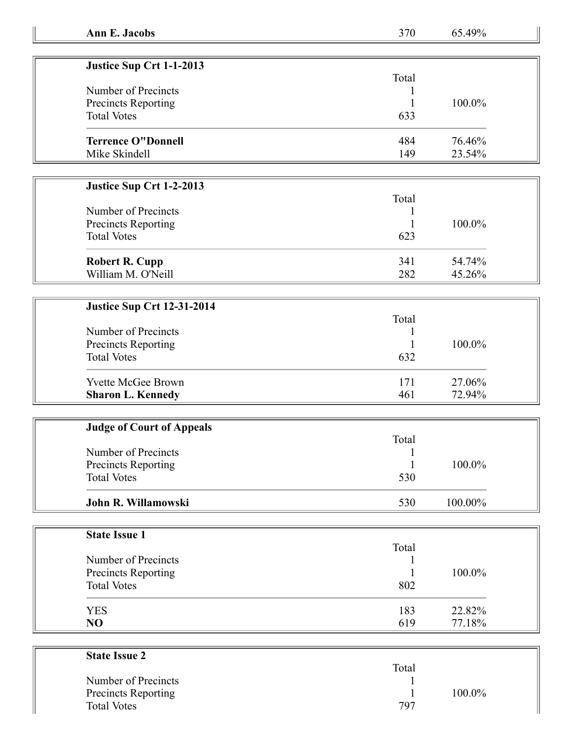| Justice Sup Crt 1-1-2013  |       |        |
|---------------------------|-------|--------|
|                           | Total |        |
| Number of Precincts       |       |        |
| Precincts Reporting       |       | 100.0% |
| <b>Total Votes</b>        | 633   |        |
| <b>Terrence O"Donnell</b> | 484   | 76.46% |
| Mike Skindell             | 149   | 23.54% |

## **Justice Sup Crt 1-2-2013**

## **Justice Sup Crt 12-31-2014**

| Number of Precincts<br><b>Precincts Reporting</b><br><b>Total Votes</b> | Total<br>632 | 100.0% |
|-------------------------------------------------------------------------|--------------|--------|
| <b>Yvette McGee Brown</b>                                               | 171          | 27.06% |
| <b>Sharon L. Kennedy</b>                                                | 461          | 72.94% |

| <b>Judge of Court of Appeals</b> |       |            |
|----------------------------------|-------|------------|
|                                  | Total |            |
| Number of Precincts              |       |            |
| <b>Precincts Reporting</b>       |       | 100.0%     |
| <b>Total Votes</b>               | 530   |            |
| John R. Willamowski              | 530   | $100.00\%$ |

| <b>State Issue 1</b> |       |        |
|----------------------|-------|--------|
|                      | Total |        |
| Number of Precincts  |       |        |
| Precincts Reporting  |       | 100.0% |
| <b>Total Votes</b>   | 802   |        |
| <b>YES</b>           | 183   | 22.82% |
| NO                   | 619   | 77.18% |

| <b>State Issue 2</b>       |       |        |
|----------------------------|-------|--------|
|                            | Total |        |
| Number of Precincts        |       |        |
| <b>Precincts Reporting</b> |       | 100.0% |
| <b>Total Votes</b>         | 797   |        |